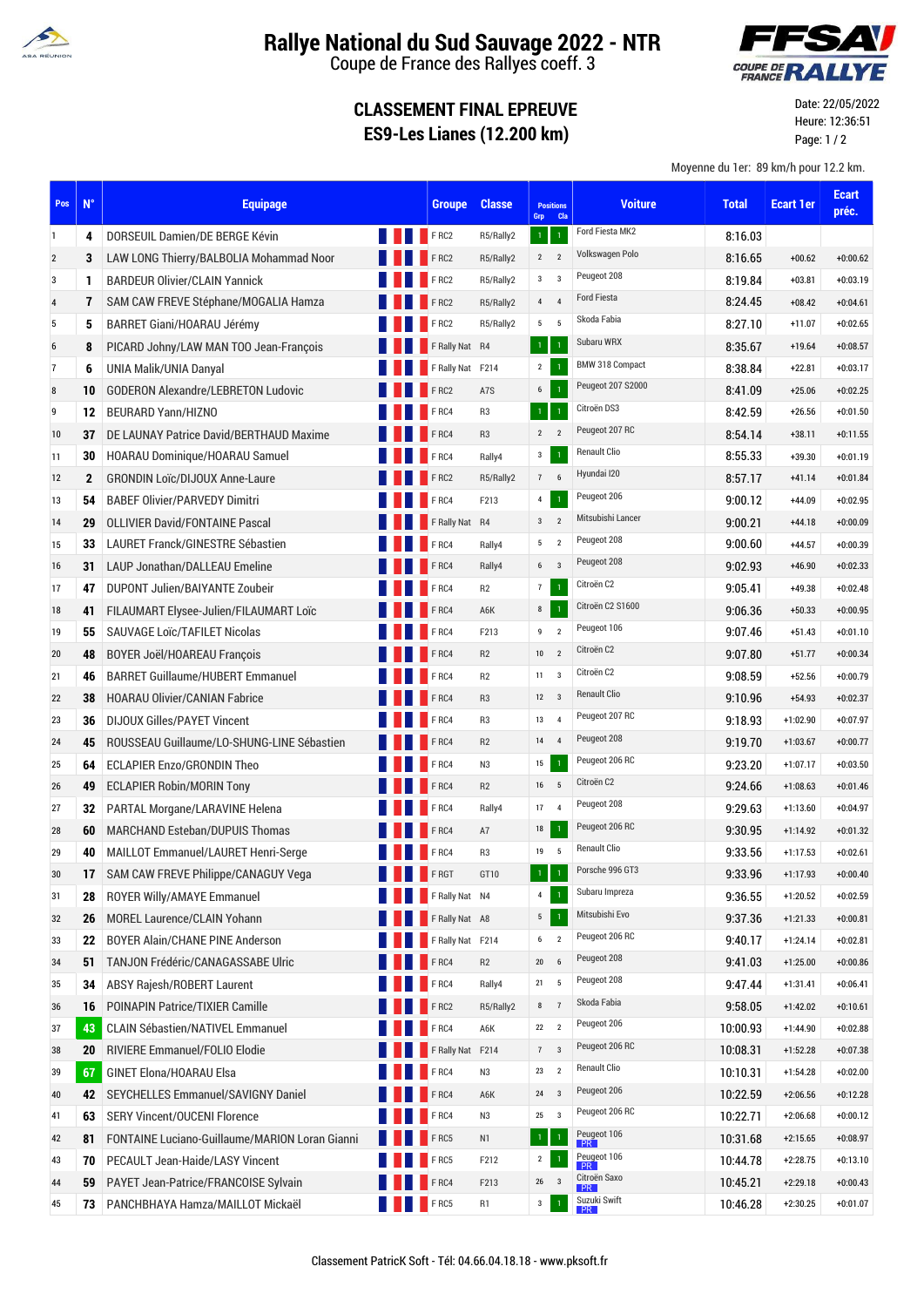

## **Rallye National du Sud Sauvage 2022 - NTR**

Coupe de France des Rallyes coeff. 3



## **CLASSEMENT FINAL EPREUVE ES9-Les Lianes (12.200 km)**

Date: 22/05/2022 Heure: 12:36:51 Page: 1 / 2

Moyenne du 1er: 89 km/h pour 12.2 km.

| Pos                     | $N^{\circ}$  | <b>Equipage</b>                                | <b>Groupe</b>        | <b>Classe</b>  | <b>Positions</b><br>Grp | <b>Cla</b>              | <b>Voiture</b>            | <b>Total</b> | <b>Ecart 1er</b> | <b>Ecart</b><br>préc. |
|-------------------------|--------------|------------------------------------------------|----------------------|----------------|-------------------------|-------------------------|---------------------------|--------------|------------------|-----------------------|
| 1                       | 4            | DORSEUIL Damien/DE BERGE Kévin                 | FRC2                 | R5/Rally2      | $\mathbf{1}$            | $\mathbf{1}$            | Ford Fiesta MK2           | 8:16.03      |                  |                       |
| $\overline{\mathbf{c}}$ | 3            | LAW LONG Thierry/BALBOLIA Mohammad Noor        | FRC2                 | R5/Rally2      | $\overline{2}$          | $\overline{2}$          | Volkswagen Polo           | 8:16.65      | $+00.62$         | $+0:00.62$            |
| 3                       | 1            | <b>BARDEUR Olivier/CLAIN Yannick</b>           | FRC2                 | R5/Rally2      | $3^3$                   |                         | Peugeot 208               | 8:19.84      | $+03.81$         | $+0:03.19$            |
| 4                       | 7            | SAM CAW FREVE Stéphane/MOGALIA Hamza           | FRC2                 | R5/Rally2      | $4\quad 4$              |                         | Ford Fiesta               | 8:24.45      | $+08.42$         | $+0:04.61$            |
| 5                       | 5            | BARRET Giani/HOARAU Jérémy                     | FRC2                 | R5/Rally2      | $5\qquad 5$             |                         | Skoda Fabia               | 8:27.10      | $+11.07$         | $+0:02.65$            |
| 6                       | 8            | PICARD Johny/LAW MAN TOO Jean-François         | F Rally Nat R4       |                | $1^\circ$               | $\overline{1}$          | Subaru WRX                | 8:35.67      | $+19.64$         | $+0:08.57$            |
| 7                       | 6            | UNIA Malik/UNIA Danyal                         | F Rally Nat F214     |                | $2^{\circ}$             | $\mathbf{1}$            | <b>BMW 318 Compact</b>    | 8:38.84      | $+22.81$         | $+0:03.17$            |
| 8                       | 10           | <b>GODERON Alexandre/LEBRETON Ludovic</b>      | FRC2                 | A7S            | $6\overline{6}$         |                         | Peugeot 207 S2000         | 8:41.09      | $+25.06$         | $+0:02.25$            |
| 9                       | 12           | <b>BEURARD Yann/HIZNO</b>                      | F <sub>RC4</sub>     | R <sub>3</sub> | $\mathbf{1}$            | $\overline{1}$          | Citroën DS3               | 8:42.59      | $+26.56$         | $+0:01.50$            |
| 10                      | 37           | DE LAUNAY Patrice David/BERTHAUD Maxime        | FRC4                 | R <sub>3</sub> | $2 \quad 2$             |                         | Peugeot 207 RC            | 8:54.14      | $+38.11$         | $+0:11.55$            |
| 11                      | 30           | HOARAU Dominique/HOARAU Samuel                 | F <sub>RC4</sub>     | Rally4         | $3^{\circ}$             | $\mathbf 1$             | Renault Clio              | 8:55.33      | $+39.30$         | $+0:01.19$            |
| 12                      | $\mathbf{2}$ | <b>GRONDIN Loïc/DIJOUX Anne-Laure</b>          | FRC2                 | R5/Rally2      | 76                      |                         | Hyundai I20               | 8:57.17      | $+41.14$         | $+0:01.84$            |
| 13                      | 54           | <b>BABEF Olivier/PARVEDY Dimitri</b>           | F <sub>RC4</sub>     | F213           | $\overline{4}$          | $\mathbf{1}$            | Peugeot 206               | 9:00.12      | $+44.09$         | $+0:02.95$            |
| 14                      | 29           | <b>OLLIVIER David/FONTAINE Pascal</b>          | F Rally Nat R4       |                | $\mathbf{3}$            | $\overline{2}$          | Mitsubishi Lancer         | 9:00.21      | $+44.18$         | $+0:00.09$            |
| 15                      | 33           | LAURET Franck/GINESTRE Sébastien               | FRC4                 | Rally4         | 5                       | $\overline{2}$          | Peugeot 208               | 9:00.60      | $+44.57$         | $+0:00.39$            |
| 16                      | 31           | <b>LAUP Jonathan/DALLEAU Emeline</b>           | FRC4                 | Rally4         | 6                       | $_{3}$                  | Peugeot 208               | 9:02.93      | $+46.90$         | $+0:02.33$            |
| 17                      | 47           | <b>DUPONT Julien/BAIYANTE Zoubeir</b>          | <b>FRC4</b>          | R2             | 7                       | $\mathbf{1}$            | Citroën C2                | 9:05.41      | $+49.38$         | $+0:02.48$            |
| 18                      | 41           | FILAUMART Elysee-Julien/FILAUMART Loïc         | <b>FRC4</b>          | A6K            | 8                       | $\,1\,$                 | Citroën C2 S1600          | 9:06.36      | $+50.33$         | $+0:00.95$            |
| 19                      | 55           | <b>SAUVAGE LOIC/TAFILET Nicolas</b>            | F <sub>RC4</sub>     | F213           | 9                       | $\overline{2}$          | Peugeot 106               | 9:07.46      | $+51.43$         | $+0:01.10$            |
| 20                      | 48           | <b>BOYER Joël/HOAREAU François</b>             | FRC4                 | R2             | $10\,$                  | $\overline{2}$          | Citroën C2                | 9:07.80      | $+51.77$         | $+0:00.34$            |
| 21                      | 46           | <b>BARRET Guillaume/HUBERT Emmanuel</b>        | F <sub>RC4</sub>     | R2             | 11                      | $\overline{\mathbf{3}}$ | Citroën C2                | 9:08.59      | $+52.56$         | $+0:00.79$            |
| 22                      | 38           | <b>HOARAU Olivier/CANIAN Fabrice</b>           | <b>FRC4</b>          | R <sub>3</sub> | $12 \quad 3$            |                         | <b>Renault Clio</b>       | 9:10.96      | $+54.93$         | $+0:02.37$            |
| 23                      | 36           | <b>DIJOUX Gilles/PAYET Vincent</b>             | F <sub>RC4</sub>     | R <sub>3</sub> | 13                      | $\overline{4}$          | Peugeot 207 RC            | 9:18.93      | $+1:02.90$       | $+0:07.97$            |
| 24                      | 45           | ROUSSEAU Guillaume/LO-SHUNG-LINE Sébastien     | F <sub>RC4</sub>     | R2             | 14                      | $\overline{4}$          | Peugeot 208               | 9:19.70      | $+1:03.67$       | $+0:00.77$            |
| 25                      | 64           | <b>ECLAPIER Enzo/GRONDIN Theo</b>              | FRC4                 | N3             | 15                      | $\mathbf 1$             | Peugeot 206 RC            | 9:23.20      | $+1:07.17$       | $+0:03.50$            |
| 26                      | 49           | <b>ECLAPIER Robin/MORIN Tony</b>               | FRC4                 | R2             | $16 \qquad 5$           |                         | Citroën C2                | 9:24.66      | $+1:08.63$       | $+0:01.46$            |
| 27                      | 32           | PARTAL Morgane/LARAVINE Helena                 | F <sub>RC4</sub>     | Rally4         | 17 4                    |                         | Peugeot 208               | 9:29.63      | $+1:13.60$       | $+0:04.97$            |
| 28                      | 60           | MARCHAND Esteban/DUPUIS Thomas                 | F <sub>RC4</sub>     | A7             | 18                      | $\mathbf 1$             | Peugeot 206 RC            | 9:30.95      | $+1:14.92$       | $+0:01.32$            |
| 29                      | 40           | MAILLOT Emmanuel/LAURET Henri-Serge            | FRC4                 | R <sub>3</sub> | 19                      | 5                       | Renault Clio              | 9:33.56      | $+1:17.53$       | $+0:02.61$            |
| 30                      | 17           | SAM CAW FREVE Philippe/CANAGUY Vega            | FRGT                 | GT10           | $\mathbf{1}$            | $\overline{1}$          | Porsche 996 GT3           | 9:33.96      | $+1:17.93$       | $+0:00.40$            |
| 31                      | 28           | ROYER Willy/AMAYE Emmanuel                     | <b>FRally Nat N4</b> |                | $\overline{4}$          | $\,1\,$                 | Subaru Impreza            | 9:36.55      | $+1:20.52$       | $+0:02.59$            |
| 32                      | 26           | MOREL Laurence/CLAIN Yohann                    | F Rally Nat A8       |                | 5 <sub>5</sub>          | $\,1\,$                 | Mitsubishi Evo            | 9:37.36      | $+1:21.33$       | $+0:00.81$            |
| 33                      | 22           | <b>BOYER Alain/CHANE PINE Anderson</b>         | F Rally Nat F214     |                | 6                       | $\overline{2}$          | Peugeot 206 RC            | 9:40.17      | $+1:24.14$       | $+0:02.81$            |
| 34                      | 51           | TANJON Frédéric/CANAGASSABE Ulric              | FRC4                 | R2             | $20\,$                  | $6\phantom{1}6$         | Peugeot 208               | 9:41.03      | $+1:25.00$       | $+0:00.86$            |
| 35                      | 34           | <b>ABSY Rajesh/ROBERT Laurent</b>              | FRC4                 | Rally4         | 21                      | $5\phantom{.0}$         | Peugeot 208               | 9:47.44      | $+1:31.41$       | $+0:06.41$            |
| 36                      | 16           | POINAPIN Patrice/TIXIER Camille                | FRC2                 | R5/Rally2      | $8\phantom{1}$          | $\overline{7}$          | Skoda Fabia               | 9:58.05      | $+1:42.02$       | $+0:10.61$            |
| 37                      | 43           | <b>CLAIN Sébastien/NATIVEL Emmanuel</b>        | FRC4                 | A6K            | 22                      | $\overline{\mathbf{2}}$ | Peugeot 206               | 10:00.93     | $+1:44.90$       | $+0:02.88$            |
| 38                      | 20           | <b>RIVIERE Emmanuel/FOLIO Elodie</b>           | F Rally Nat F214     |                | $7 \quad 3$             |                         | Peugeot 206 RC            | 10:08.31     | $+1:52.28$       | $+0:07.38$            |
| 39                      | 67           | <b>GINET Elona/HOARAU Elsa</b>                 | FRC4                 | N3             | 23                      | $\overline{2}$          | <b>Renault Clio</b>       | 10:10.31     | $+1:54.28$       | $+0:02.00$            |
| 40                      | 42           | SEYCHELLES Emmanuel/SAVIGNY Daniel             | FRC4                 | A6K            | 24                      | $\overline{3}$          | Peugeot 206               | 10:22.59     | $+2:06.56$       | $+0:12.28$            |
| 41                      | 63           | <b>SERY Vincent/OUCENI Florence</b>            | FRC4                 | N3             | 25                      | $\overline{\mathbf{3}}$ | Peugeot 206 RC            | 10:22.71     | $+2:06.68$       | $+0:00.12$            |
| 42                      | 81           | FONTAINE Luciano-Guillaume/MARION Loran Gianni | FRC5                 | N1             | $\mathbf 1$             | $\,1\,$                 | Peugeot 106               | 10:31.68     | $+2:15.65$       | $+0:08.97$            |
| 43                      | 70           | PECAULT Jean-Haide/LASY Vincent                | FRC5                 | F212           | $\overline{2}$          | $\mathbf 1$             | Peugeot 106               | 10:44.78     | $+2:28.75$       | $+0:13.10$            |
| 44                      | 59           | PAYET Jean-Patrice/FRANCOISE Sylvain           | FRC4                 | F213           | 26                      | $\overline{3}$          | Citroën Saxo<br><b>PR</b> | 10:45.21     | $+2:29.18$       | $+0:00.43$            |
| 45                      | 73           | PANCHBHAYA Hamza/MAILLOT Mickaël               | <b>FRC5</b>          | R1             | $\mathbf 3$             | 1                       | Suzuki Swift              | 10:46.28     | $+2:30.25$       | $+0:01.07$            |